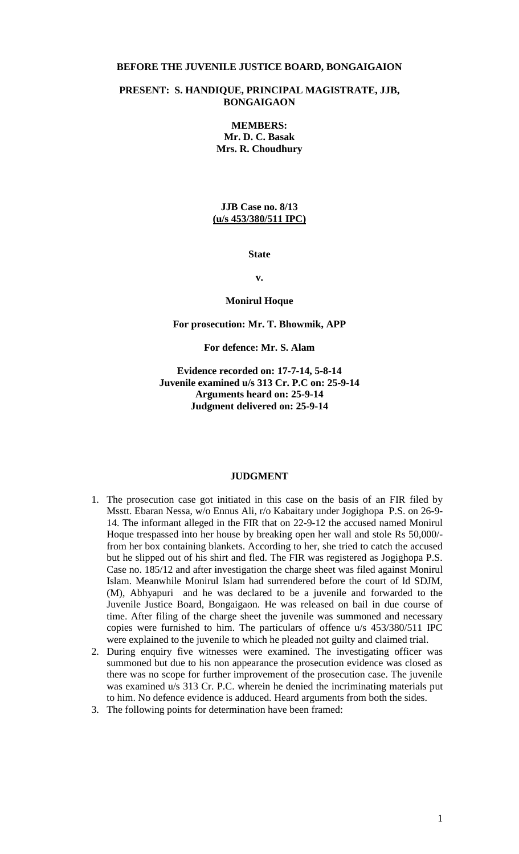#### **BEFORE THE JUVENILE JUSTICE BOARD, BONGAIGAION**

#### **PRESENT: S. HANDIQUE, PRINCIPAL MAGISTRATE, JJB, BONGAIGAON**

**MEMBERS: Mr. D. C. Basak Mrs. R. Choudhury**

#### **JJB Case no. 8/13 (u/s 453/380/511 IPC)**

**State**

**v.**

#### **Monirul Hoque**

# **For prosecution: Mr. T. Bhowmik, APP**

# **For defence: Mr. S. Alam**

# **Evidence recorded on: 17-7-14, 5-8-14 Juvenile examined u/s 313 Cr. P.C on: 25-9-14 Arguments heard on: 25-9-14 Judgment delivered on: 25-9-14**

#### **JUDGMENT**

- 1. The prosecution case got initiated in this case on the basis of an FIR filed by Msstt. Ebaran Nessa, w/o Ennus Ali, r/o Kabaitary under Jogighopa P.S. on 26-9- 14. The informant alleged in the FIR that on 22-9-12 the accused named Monirul Hoque trespassed into her house by breaking open her wall and stole Rs 50,000/ from her box containing blankets. According to her, she tried to catch the accused but he slipped out of his shirt and fled. The FIR was registered as Jogighopa P.S. Case no. 185/12 and after investigation the charge sheet was filed against Monirul Islam. Meanwhile Monirul Islam had surrendered before the court of ld SDJM, (M), Abhyapuri and he was declared to be a juvenile and forwarded to the Juvenile Justice Board, Bongaigaon. He was released on bail in due course of time. After filing of the charge sheet the juvenile was summoned and necessary copies were furnished to him. The particulars of offence u/s 453/380/511 IPC were explained to the juvenile to which he pleaded not guilty and claimed trial.
- 2. During enquiry five witnesses were examined. The investigating officer was summoned but due to his non appearance the prosecution evidence was closed as there was no scope for further improvement of the prosecution case. The juvenile was examined u/s 313 Cr. P.C. wherein he denied the incriminating materials put to him. No defence evidence is adduced. Heard arguments from both the sides.
- 3. The following points for determination have been framed: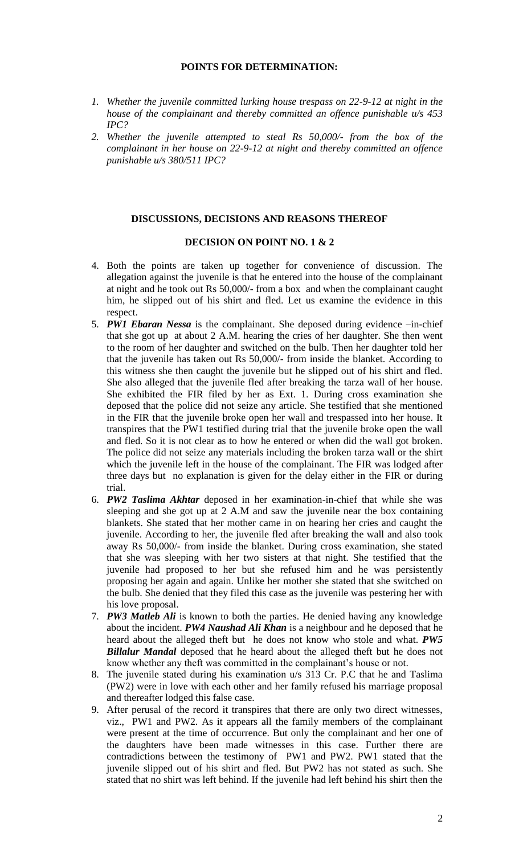# **POINTS FOR DETERMINATION:**

- *1. Whether the juvenile committed lurking house trespass on 22-9-12 at night in the house of the complainant and thereby committed an offence punishable u/s 453 IPC?*
- *2. Whether the juvenile attempted to steal Rs 50,000/- from the box of the complainant in her house on 22-9-12 at night and thereby committed an offence punishable u/s 380/511 IPC?*

#### **DISCUSSIONS, DECISIONS AND REASONS THEREOF**

# **DECISION ON POINT NO. 1 & 2**

- 4. Both the points are taken up together for convenience of discussion. The allegation against the juvenile is that he entered into the house of the complainant at night and he took out Rs 50,000/- from a box and when the complainant caught him, he slipped out of his shirt and fled. Let us examine the evidence in this respect.
- 5. *PW1 Ebaran Nessa* is the complainant. She deposed during evidence –in-chief that she got up at about 2 A.M. hearing the cries of her daughter. She then went to the room of her daughter and switched on the bulb. Then her daughter told her that the juvenile has taken out Rs 50,000/- from inside the blanket. According to this witness she then caught the juvenile but he slipped out of his shirt and fled. She also alleged that the juvenile fled after breaking the tarza wall of her house. She exhibited the FIR filed by her as Ext. 1. During cross examination she deposed that the police did not seize any article. She testified that she mentioned in the FIR that the juvenile broke open her wall and trespassed into her house. It transpires that the PW1 testified during trial that the juvenile broke open the wall and fled. So it is not clear as to how he entered or when did the wall got broken. The police did not seize any materials including the broken tarza wall or the shirt which the juvenile left in the house of the complainant. The FIR was lodged after three days but no explanation is given for the delay either in the FIR or during trial.
- 6. *PW2 Taslima Akhtar* deposed in her examination-in-chief that while she was sleeping and she got up at 2 A.M and saw the juvenile near the box containing blankets. She stated that her mother came in on hearing her cries and caught the juvenile. According to her, the juvenile fled after breaking the wall and also took away Rs 50,000/- from inside the blanket. During cross examination, she stated that she was sleeping with her two sisters at that night. She testified that the juvenile had proposed to her but she refused him and he was persistently proposing her again and again. Unlike her mother she stated that she switched on the bulb. She denied that they filed this case as the juvenile was pestering her with his love proposal.
- 7. *PW3 Matleb Ali* is known to both the parties. He denied having any knowledge about the incident. *PW4 Naushad Ali Khan* is a neighbour and he deposed that he heard about the alleged theft but he does not know who stole and what. *PW5 Billalur Mandal* deposed that he heard about the alleged theft but he does not know whether any theft was committed in the complainant's house or not.
- 8. The juvenile stated during his examination u/s 313 Cr. P.C that he and Taslima (PW2) were in love with each other and her family refused his marriage proposal and thereafter lodged this false case.
- 9. After perusal of the record it transpires that there are only two direct witnesses, viz., PW1 and PW2. As it appears all the family members of the complainant were present at the time of occurrence. But only the complainant and her one of the daughters have been made witnesses in this case. Further there are contradictions between the testimony of PW1 and PW2. PW1 stated that the juvenile slipped out of his shirt and fled. But PW2 has not stated as such. She stated that no shirt was left behind. If the juvenile had left behind his shirt then the